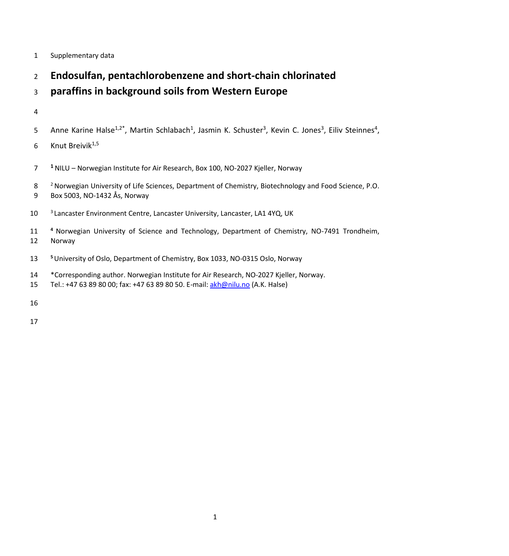- Supplementary data
- **Endosulfan, pentachlorobenzene and short-chain chlorinated**

# **paraffins in background soils from Western Europe**

## 

- 5 Anne Karine Halse<sup>1,2\*</sup>, Martin Schlabach<sup>1</sup>, Jasmin K. Schuster<sup>3</sup>, Kevin C. Jones<sup>3</sup>, Eiliv Steinnes<sup>4</sup>,
- 6 Knut Breivik<sup>1,5</sup>
- **<sup>1</sup>** NILU Norwegian Institute for Air Research, Box 100, NO-2027 Kjeller, Norway
- <sup>2</sup> Norwegian University of Life Sciences, Department of Chemistry, Biotechnology and Food Science, P.O. Box 5003, NO-1432 Ås, Norway
- <sup>3</sup> Lancaster Environment Centre, Lancaster University, Lancaster, LA1 4YQ, UK
- **<sup>4</sup>** Norwegian University of Science and Technology, Department of Chemistry, NO-7491 Trondheim, Norway
- **<sup>5</sup>** University of Oslo, Department of Chemistry, Box 1033, NO-0315 Oslo, Norway
- \*Corresponding author. Norwegian Institute for Air Research, NO-2027 Kjeller, Norway.
- 15 Tel.: +47 63 89 80 00; fax: +47 63 89 80 50. E-mail[: akh@nilu.no](mailto:akh@nilu.no) (A.K. Halse)
-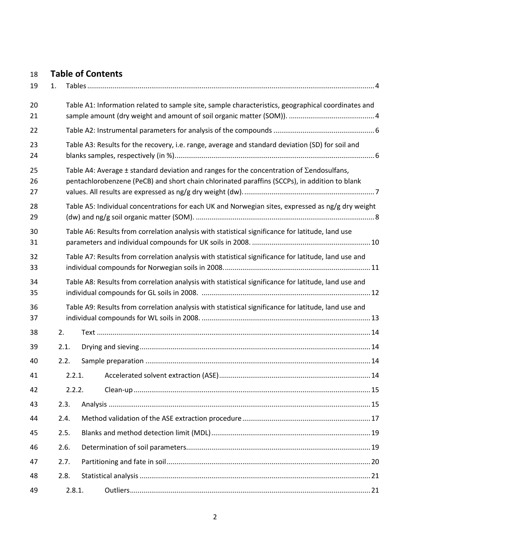# **Table of Contents**

| 19             | 1. |        |                                                                                                                                                                                                       |  |
|----------------|----|--------|-------------------------------------------------------------------------------------------------------------------------------------------------------------------------------------------------------|--|
| 20<br>21       |    |        | Table A1: Information related to sample site, sample characteristics, geographical coordinates and                                                                                                    |  |
| 22             |    |        |                                                                                                                                                                                                       |  |
| 23<br>24       |    |        | Table A3: Results for the recovery, i.e. range, average and standard deviation (SD) for soil and                                                                                                      |  |
| 25<br>26<br>27 |    |        | Table A4: Average $\pm$ standard deviation and ranges for the concentration of $\Sigma$ endosulfans,<br>pentachlorobenzene (PeCB) and short chain chlorinated paraffins (SCCPs), in addition to blank |  |
| 28<br>29       |    |        | Table A5: Individual concentrations for each UK and Norwegian sites, expressed as ng/g dry weight                                                                                                     |  |
| 30<br>31       |    |        | Table A6: Results from correlation analysis with statistical significance for latitude, land use                                                                                                      |  |
| 32<br>33       |    |        | Table A7: Results from correlation analysis with statistical significance for latitude, land use and                                                                                                  |  |
| 34<br>35       |    |        | Table A8: Results from correlation analysis with statistical significance for latitude, land use and                                                                                                  |  |
| 36<br>37       |    |        | Table A9: Results from correlation analysis with statistical significance for latitude, land use and                                                                                                  |  |
| 38             |    | 2.     |                                                                                                                                                                                                       |  |
| 39             |    | 2.1.   |                                                                                                                                                                                                       |  |
| 40             |    | 2.2.   |                                                                                                                                                                                                       |  |
| 41             |    | 2.2.1. |                                                                                                                                                                                                       |  |
| 42             |    | 2.2.2. |                                                                                                                                                                                                       |  |
| 43             |    | 2.3.   |                                                                                                                                                                                                       |  |
| 44             |    | 2.4.   |                                                                                                                                                                                                       |  |
| 45             |    | 2.5.   |                                                                                                                                                                                                       |  |
| 46             |    | 2.6.   |                                                                                                                                                                                                       |  |
| 47             |    | 2.7.   |                                                                                                                                                                                                       |  |
| 48             |    | 2.8.   |                                                                                                                                                                                                       |  |
| 49             |    | 2.8.1. |                                                                                                                                                                                                       |  |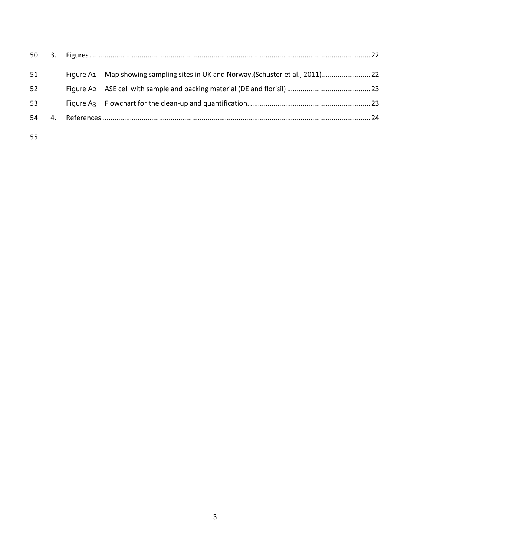| 4. |  |                                                                                  |
|----|--|----------------------------------------------------------------------------------|
|    |  | Figure A1 Map showing sampling sites in UK and Norway. (Schuster et al., 2011)22 |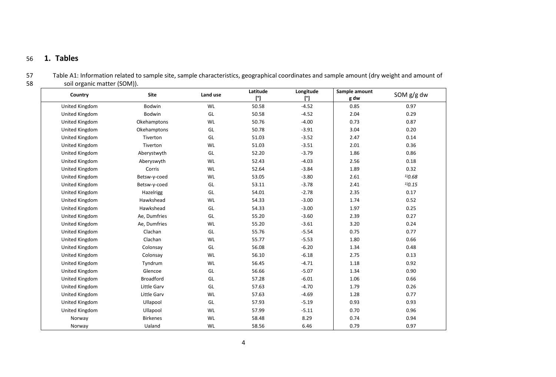# 56 **1. Tables**

|      | Table A1: Information related to sample site, sample characteristics, geographical coordinates and sample amount (dry weight and amount of |
|------|--------------------------------------------------------------------------------------------------------------------------------------------|
| - 58 | soil organic matter (SOM)).                                                                                                                |

<span id="page-3-1"></span><span id="page-3-0"></span>

| Country               | <b>Site</b>      | Land use  | Latitude<br>$[^{\circ}]$ | Longitude<br>$[^{\circ}]$ | Sample amount<br>g dw | SOM g/g dw  |
|-----------------------|------------------|-----------|--------------------------|---------------------------|-----------------------|-------------|
| United Kingdom        | Bodwin           | WL        | 50.58                    | $-4.52$                   | 0.85                  | 0.97        |
| United Kingdom        | Bodwin           | GL        | 50.58                    | $-4.52$                   | 2.04                  | 0.29        |
| United Kingdom        | Okehamptons      | WL        | 50.76                    | $-4.00$                   | 0.73                  | 0.87        |
| United Kingdom        | Okehamptons      | GL        | 50.78                    | $-3.91$                   | 3.04                  | 0.20        |
| United Kingdom        | Tiverton         | GL        | 51.03                    | $-3.52$                   | 2.47                  | 0.14        |
| United Kingdom        | Tiverton         | WL        | 51.03                    | $-3.51$                   | 2.01                  | 0.36        |
| United Kingdom        | Aberystwyth      | GL        | 52.20                    | $-3.79$                   | 1.86                  | 0.86        |
| United Kingdom        | Aberyswyth       | <b>WL</b> | 52.43                    | $-4.03$                   | 2.56                  | 0.18        |
| United Kingdom        | Corris           | WL        | 52.64                    | $-3.84$                   | 1.89                  | 0.32        |
| United Kingdom        | Betsw-y-coed     | WL        | 53.05                    | $-3.80$                   | 2.61                  | $^{1/0.68}$ |
| <b>United Kingdom</b> | Betsw-y-coed     | GL        | 53.11                    | $-3.78$                   | 2.41                  | 1/0.15      |
| United Kingdom        | Hazelrigg        | GL        | 54.01                    | $-2.78$                   | 2.35                  | 0.17        |
| United Kingdom        | Hawkshead        | <b>WL</b> | 54.33                    | $-3.00$                   | 1.74                  | 0.52        |
| United Kingdom        | Hawkshead        | GL        | 54.33                    | $-3.00$                   | 1.97                  | 0.25        |
| United Kingdom        | Ae, Dumfries     | GL        | 55.20                    | $-3.60$                   | 2.39                  | 0.27        |
| United Kingdom        | Ae, Dumfries     | WL        | 55.20                    | $-3.61$                   | 3.20                  | 0.24        |
| United Kingdom        | Clachan          | GL        | 55.76                    | $-5.54$                   | 0.75                  | 0.77        |
| United Kingdom        | Clachan          | WL        | 55.77                    | $-5.53$                   | 1.80                  | 0.66        |
| United Kingdom        | Colonsay         | GL        | 56.08                    | $-6.20$                   | 1.34                  | 0.48        |
| United Kingdom        | Colonsay         | WL        | 56.10                    | $-6.18$                   | 2.75                  | 0.13        |
| United Kingdom        | Tyndrum          | WL        | 56.45                    | $-4.71$                   | 1.18                  | 0.92        |
| United Kingdom        | Glencoe          | GL        | 56.66                    | $-5.07$                   | 1.34                  | 0.90        |
| United Kingdom        | <b>Broadford</b> | GL        | 57.28                    | $-6.01$                   | 1.06                  | 0.66        |
| United Kingdom        | Little Garv      | GL        | 57.63                    | $-4.70$                   | 1.79                  | 0.26        |
| United Kingdom        | Little Garv      | <b>WL</b> | 57.63                    | $-4.69$                   | 1.28                  | 0.77        |
| United Kingdom        | Ullapool         | GL        | 57.93                    | $-5.19$                   | 0.93                  | 0.93        |
| United Kingdom        | Ullapool         | <b>WL</b> | 57.99                    | $-5.11$                   | 0.70                  | 0.96        |
| Norway                | <b>Birkenes</b>  | <b>WL</b> | 58.48                    | 8.29                      | 0.74                  | 0.94        |
| Norway                | Ualand           | WL        | 58.56                    | 6.46                      | 0.79                  | 0.97        |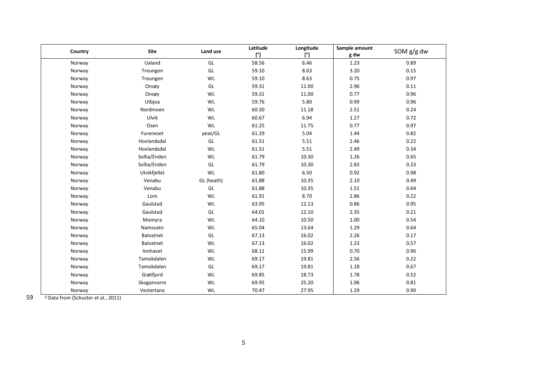| Country | <b>Site</b>  | Land use       | Latitude<br>$[^{\circ}]$ | Longitude<br>$[^{\circ}]$ | Sample amount<br>g dw | SOM g/g dw |
|---------|--------------|----------------|--------------------------|---------------------------|-----------------------|------------|
| Norway  | Ualand       | $\mathsf{GL}%$ | 58.56                    | 6.46                      | 1.23                  | 0.89       |
| Norway  | Treungen     | $\mathsf{GL}%$ | 59.10                    | 8.63                      | 3.20                  | 0.15       |
| Norway  | Treungen     | WL             | 59.10                    | 8.63                      | 0.75                  | 0.97       |
| Norway  | Onsøy        | $\mathsf{GL}%$ | 59.31                    | 11.00                     | 2.96                  | 0.11       |
| Norway  | Onsøy        | WL             | 59.31                    | 11.00                     | 0.77                  | 0.96       |
| Norway  | Utbjoa       | WL             | 59.76                    | 5.80                      | 0.99                  | 0.96       |
| Norway  | Nordmoen     | WL             | 60.30                    | 11.18                     | 2.51                  | 0.24       |
| Norway  | Ulvik        | WL             | 60.67                    | 6.94                      | 1.27                  | 0.72       |
| Norway  | Osen         | WL             | 61.25                    | 11.75                     | 0.77                  | 0.97       |
| Norway  | Fureneset    | peat/GL        | 61.29                    | 5.04                      | 1.44                  | 0.82       |
| Norway  | Hovlandsdal  | $\mathsf{GL}%$ | 61.51                    | 5.51                      | 2.46                  | 0.22       |
| Norway  | Hovlandsdal  | WL             | 61.51                    | 5.51                      | 2.49                  | 0.34       |
| Norway  | Sollia/Enden | WL             | 61.79                    | 10.30                     | 1.26                  | 0.65       |
| Norway  | Sollia/Enden | $\mathsf{GL}%$ | 61.79                    | 10.30                     | 2.83                  | 0.23       |
| Norway  | Utvikfjellet | WL             | 61.80                    | 6.50                      | 0.92                  | 0.98       |
| Norway  | Venabu       | GL (heath)     | 61.88                    | 10.35                     | 2.10                  | 0.49       |
| Norway  | Venabu       | $\mathsf{GL}%$ | 61.88                    | 10.35                     | 1.51                  | 0.64       |
| Norway  | Lom          | WL             | 61.91                    | 8.70                      | 2.86                  | 0.22       |
| Norway  | Gaulstad     | WL             | 63.95                    | 12.13                     | 0.86                  | 0.95       |
| Norway  | Gaulstad     | $\mathsf{GL}%$ | 64.01                    | 12.10                     | 2.35                  | 0.21       |
| Norway  | Momyra       | WL             | 64.10                    | 10.50                     | 1.00                  | 0.54       |
| Norway  | Namsvatn     | WL             | 65.04                    | 13.64                     | 1.29                  | 0.64       |
| Norway  | Balvatnet    | GL             | 67.13                    | 16.02                     | 2.26                  | 0.17       |
| Norway  | Balvatnet    | WL             | 67.13                    | 16.02                     | 1.23                  | 0.57       |
| Norway  | Innhavet     | WL             | 68.11                    | 15.99                     | 0.70                  | 0.96       |
| Norway  | Tamokdalen   | WL             | 69.17                    | 19.81                     | 2.56                  | 0.22       |
| Norway  | Tamokdalen   | $\mathsf{GL}%$ | 69.17                    | 19.81                     | 1.18                  | 0.67       |
| Norway  | Grøtfjord    | WL             | 69.85                    | 18.73                     | 1.78                  | 0.52       |
| Norway  | Skoganvarre  | WL             | 69.95                    | 25.20                     | 1.06                  | 0.81       |
| Norway  | Vestertana   | WL             | 70.47                    | 27.95                     | 1.29                  | 0.90       |

59 <sup>1)</sup> Data from [\(Schuster et al., 2011\)](#page-23-1)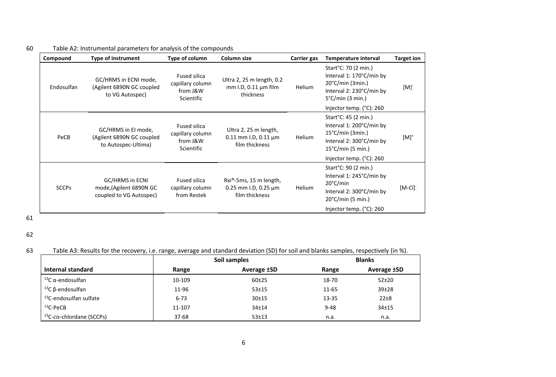# 60 Table A2: Instrumental parameters for analysis of the compounds

| Compound     | <b>Type of instrument</b>                                               | Type of column                                             | Column size                                                                        | Carrier gas | Temperature interval                                                                                                                                                            | <b>Target ion</b>     |
|--------------|-------------------------------------------------------------------------|------------------------------------------------------------|------------------------------------------------------------------------------------|-------------|---------------------------------------------------------------------------------------------------------------------------------------------------------------------------------|-----------------------|
| Endosulfan   | GC/HRMS in ECNI mode,<br>(Agilent 6890N GC coupled<br>to VG Autospec)   | Fused silica<br>capillary column<br>from J&W<br>Scientific | Ultra 2, 25 m length, 0.2<br>$mm$ I.D, 0.11 $µm$ film<br>thickness                 | Helium      | Start°C: 70 (2 min.)<br>Interval 1: 170°C/min by<br>$20^{\circ}$ C/min (3min.)<br>Interval 2: 230°C/min by<br>$5^{\circ}$ C/min (3 min.)                                        | [M]                   |
|              |                                                                         |                                                            |                                                                                    |             | Injector temp. (°C): 260                                                                                                                                                        |                       |
| PeCB         | GC/HRMS in El mode,<br>(Agilent 6890N GC coupled<br>to Autospec-Ultima) | Fused silica<br>capillary column<br>from J&W<br>Scientific | Ultra 2, 25 m length,<br>$0.11$ mm I.D, $0.11$ µm<br>film thickness                | Helium      | Start°C: 45 (2 min.)<br>Interval 1: 200°C/min by<br>$15^{\circ}$ C/min (3min.)<br>Interval 2: 300°C/min by<br>$15^{\circ}$ C/min (5 min.)                                       | $[M]$ <sup>+</sup>    |
| <b>SCCPs</b> | GC/HRMS in ECNI<br>mode, (Agilent 6890N GC<br>coupled to VG Autospec)   | <b>Fused silica</b><br>capillary column<br>from Restek     | Rxi <sup>®</sup> -5ms, 15 m length,<br>0.25 mm I.D, 0.25 $\mu$ m<br>film thickness | Helium      | Injector temp. (°C): 260<br>Start°C: 90 (2 min.)<br>Interval 1: 245°C/min by<br>20°C/min<br>Interval 2: 300°C/min by<br>$20^{\circ}$ C/min (5 min.)<br>Injector temp. (°C): 260 | $[M-Cl]$ <sup>-</sup> |

<span id="page-5-0"></span>61

63 Table A3: Results for the recovery, i.e. range, average and standard deviation (SD) for soil and blanks samples, respectively (in %).

<span id="page-5-1"></span>

|                                       |          | Soil samples       | <b>Blanks</b> |             |  |  |  |
|---------------------------------------|----------|--------------------|---------------|-------------|--|--|--|
| Internal standard                     | Range    | <b>Average ±SD</b> | Range         | Average ±SD |  |  |  |
| <sup>13</sup> C α-endosulfan          | 10-109   | $60+25$            | 18-70         | $52 + 20$   |  |  |  |
| <sup>13</sup> C β-endosulfan          | 11-96    | $53 + 15$          | 11-65         | $39 + 28$   |  |  |  |
| <sup>13</sup> C-endosulfan sulfate    | $6 - 73$ | $30 + 15$          | 13-35         | $22\pm8$    |  |  |  |
| $13C-PeCB$                            | 11-107   | $34 + 14$          | $9 - 48$      | $34 + 15$   |  |  |  |
| <sup>13</sup> C-cis-chlordane (SCCPs) | $37-68$  | $53 + 13$          | n.a.          | n.a.        |  |  |  |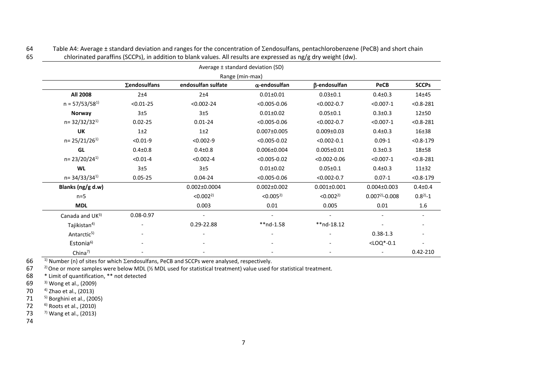<span id="page-6-0"></span>

|                          |                     |                      | Average ± standard deviation (SD) |                      |                    |                              |
|--------------------------|---------------------|----------------------|-----------------------------------|----------------------|--------------------|------------------------------|
|                          |                     |                      | Range (min-max)                   |                      |                    |                              |
|                          | <b>Σendosulfans</b> | endosulfan sulfate   | $\alpha$ -endosulfan              | β-endosulfan         | <b>PeCB</b>        | <b>SCCPs</b>                 |
| <b>All 2008</b>          | 2±4                 | 2±4                  | $0.01 \pm 0.01$                   | $0.03 \pm 0.1$       | $0.4 \pm 0.3$      | 14±45                        |
| $n = 57/53/58^{1}$       | $< 0.01 - 25$       | $< 0.002 - 24$       | $< 0.005 - 0.06$                  | $< 0.002 - 0.7$      | $< 0.007 - 1$      | $< 0.8 - 281$                |
| <b>Norway</b>            | 3±5                 | 3±5                  | $0.01 \pm 0.02$                   | $0.05 \pm 0.1$       | $0.3 \pm 0.3$      | $12\pm50$                    |
| $n = 32/32/32^{1}$       | $0.02 - 25$         | $0.01 - 24$          | $< 0.005 - 0.06$                  | $< 0.002 - 0.7$      | $< 0.007 - 1$      | $< 0.8 - 281$                |
| UK                       | $1\pm 2$            | $1\pm2$              | $0.007 \pm 0.005$                 | $0.009 \pm 0.03$     | $0.4 \pm 0.3$      | 16±38                        |
| $n = 25/21/26^{1}$       | $< 0.01 - 9$        | $< 0.002 - 9$        | $< 0.005 - 0.02$                  | $< 0.002 - 0.1$      | $0.09 - 1$         | $< 0.8 - 179$                |
| GL                       | $0.4 \pm 0.8$       | $0.4 + 0.8$          | $0.006 \pm 0.004$                 | $0.005 \pm 0.01$     | $0.3 \pm 0.3$      | $18\pm58$                    |
| $n = 23/20/24^{1}$       | $< 0.01 - 4$        | $< 0.002 - 4$        | $< 0.005 - 0.02$                  | $< 0.002 - 0.06$     | $< 0.007 - 1$      | $< 0.8 - 281$                |
| <b>WL</b>                | 3±5                 | 3±5                  | $0.01 \pm 0.02$                   | $0.05 \pm 0.1$       | $0.4 \pm 0.3$      | 11±32                        |
| $n = 34/33/34^{1}$       | $0.05 - 25$         | $0.04 - 24$          | $< 0.005 - 0.06$                  | $< 0.002 - 0.7$      | $0.07 - 1$         | $< 0.8 - 179$                |
| Blanks (ng/g d.w)        |                     | $0.002 \pm 0.0004$   | $0.002 \pm 0.002$                 | $0.001 \pm 0.001$    | $0.004 \pm 0.003$  | $0.4 + 0.4$                  |
| $n=5$                    |                     | < 0.002 <sup>2</sup> | < 0.005 <sup>2</sup>              | < 0.002 <sup>2</sup> | $0.007^{2}$ -0.008 | $0.8^{2} - 1$                |
| <b>MDL</b>               |                     | 0.003                | 0.01                              | 0.005                | 0.01               | $1.6\,$                      |
| Canada and UK3)          | $0.08 - 0.97$       |                      |                                   |                      |                    |                              |
| Tajikistan <sup>4)</sup> |                     | 0.29-22.88           | $**nd-1.58$                       | $**nd-18.12$         |                    | $\qquad \qquad \blacksquare$ |
| Antarctic <sup>5)</sup>  |                     |                      |                                   |                      | $0.38 - 1.3$       |                              |
| Estonia <sup>6)</sup>    |                     |                      |                                   |                      | $<$ LOQ $*$ -0.1   |                              |
| China <sup>7)</sup>      |                     |                      |                                   |                      |                    | $0.42 - 210$                 |

64 Table A4: Average  $\pm$  standard deviation and ranges for the concentration of  $\Sigma$ endosulfans, pentachlorobenzene (PeCB) and short chain 65 chlorinated paraffins (SCCPs), in addition to blank values. All results are expressed as ng/g dry weight (dw).

 $\frac{1}{10}$  Number (n) of sites for which  $\Sigma$ endosulfans, PeCB and SCCPs were analysed, respectively.<br>67  $\frac{2}{10}$  One or more samples were below MDL (1/2 MDL used for statistical treatment) value used for

67  $\frac{2}{10}$  One or more samples were below MDL ( $\frac{1}{2}$  MDL used for statistical treatment) value used for statistical treatment.<br>68  $\cdot$  Limit of quantification, \*\* not detected

68  $*$  Limit of quantification,  $**$  not detected<br>69  $*$  Wong et al., (2009)

69 <sup>3)</sup> Wong et al., [\(2009\)](#page-23-2)<br>70  $4$  2hao et al., (2013)

70  $4$  Zhao et al., [\(2013\)](#page-24-0)<br>71  $5$  Borghini et al., (200

71  $5)$  Borghini et al., [\(2005\)](#page-23-3)<br>72  $-6$  Roots et al., (2010)

72 <sup>6)</sup> Roots et al., [\(2010\)](#page-23-4)<br>73 <sup>7)</sup> Wang et al., (2013)

 $7)$  Wang et al., [\(2013\)](#page-23-5)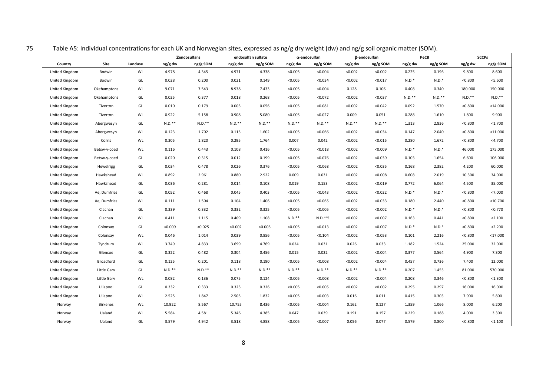<span id="page-7-0"></span>

|                |                 |         |          | Σendosulfans |          | endosulfan sulfate |           | $\alpha$ -endosulfan |           | <b>B-endosulfan</b> |           | PeCB      |           | <b>SCCPs</b> |
|----------------|-----------------|---------|----------|--------------|----------|--------------------|-----------|----------------------|-----------|---------------------|-----------|-----------|-----------|--------------|
| Country        | Site            | Landuse | ng/g dw  | ng/g SOM     | ng/g dw  | ng/g SOM           | ng/g dw   | ng/g SOM             | ng/g dw   | ng/g SOM            | ng/g dw   | ng/g SOM  | ng/g dw   | ng/g SOM     |
| United Kingdom | Bodwin          | WL      | 4.978    | 4.345        | 4.971    | 4.338              | < 0.005   | < 0.004              | < 0.002   | < 0.002             | 0.225     | 0.196     | 9.800     | 8.600        |
| United Kingdom | Bodwin          | GL      | 0.028    | 0.200        | 0.021    | 0.149              | < 0.005   | < 0.034              | < 0.002   | < 0.017             | $N.D.*$   | $N.D.*$   | < 0.800   | < 5.600      |
| United Kingdom | Okehamptons     | WL      | 9.071    | 7.543        | 8.938    | 7.433              | < 0.005   | < 0.004              | 0.128     | 0.106               | 0.408     | 0.340     | 180.000   | 150.000      |
| United Kingdom | Okehamptons     | GL      | 0.025    | 0.377        | 0.018    | 0.268              | < 0.005   | < 0.072              | < 0.002   | < 0.037             | $N.D.***$ | $N.D.***$ | $N.D.$ ** | $N.D.***$    |
| United Kingdom | Tiverton        | GL      | 0.010    | 0.179        | 0.003    | 0.056              | < 0.005   | < 0.081              | < 0.002   | < 0.042             | 0.092     | 1.570     | < 0.800   | $14.000$     |
| United Kingdom | Tiverton        | WL      | 0.922    | 5.158        | 0.908    | 5.080              | < 0.005   | < 0.027              | 0.009     | 0.051               | 0.288     | 1.610     | 1.800     | 9.900        |
| United Kingdom | Abergwesyn      | GL      | $N.D.**$ | $N.D.***$    | $N.D.**$ | $N.D.$ **          | $N.D.$ ** | $N.D.***$            | $N.D.***$ | $N.D.**$            | 1.313     | 2.836     | < 0.800   | < 1.700      |
| United Kingdom | Abergwesyn      | WL      | 0.123    | 1.702        | 0.115    | 1.602              | < 0.005   | < 0.066              | < 0.002   | < 0.034             | 0.147     | 2.040     | < 0.800   | $<$ 11.000   |
| United Kingdom | Corris          | WL      | 0.305    | 1.820        | 0.295    | 1.764              | 0.007     | 0.042                | < 0.002   | < 0.015             | 0.280     | 1.672     | < 0.800   | $<$ 4.700    |
| United Kingdom | Betsw-y-coed    | WL      | 0.116    | 0.443        | 0.108    | 0.416              | < 0.005   | < 0.018              | < 0.002   | < 0.009             | $N.D.*$   | $N.D.*$   | 46.000    | 175.000      |
| United Kingdom | Betsw-y-coed    | GL      | 0.020    | 0.315        | 0.012    | 0.199              | < 0.005   | < 0.076              | < 0.002   | < 0.039             | 0.103     | 1.654     | 6.600     | 106.000      |
| United Kingdom | Hewelrigg       | GL      | 0.034    | 0.478        | 0.026    | 0.376              | < 0.005   | < 0.068              | < 0.002   | < 0.035             | 0.168     | 2.382     | 4.200     | 60.000       |
| United Kingdom | Hawkshead       | WL      | 0.892    | 2.961        | 0.880    | 2.922              | 0.009     | 0.031                | < 0.002   | < 0.008             | 0.608     | 2.019     | 10.300    | 34.000       |
| United Kingdom | Hawkshead       | GL      | 0.036    | 0.281        | 0.014    | 0.108              | 0.019     | 0.153                | < 0.002   | < 0.019             | 0.772     | 6.064     | 4.500     | 35.000       |
| United Kingdom | Ae, Dumfries    | GL      | 0.052    | 0.468        | 0.045    | 0.403              | < 0.005   | < 0.043              | < 0.002   | < 0.022             | $N.D.*$   | $N.D.*$   | < 0.800   | < 7.000      |
| United Kingdom | Ae, Dumfries    | WL      | 0.111    | 1.504        | 0.104    | 1.406              | < 0.005   | < 0.065              | < 0.002   | < 0.033             | 0.180     | 2.440     | < 0.800   | $10.700$     |
| United Kingdom | Clachan         | GL      | 0.339    | 0.332        | 0.332    | 0.325              | < 0.005   | < 0.005              | < 0.002   | < 0.002             | $N.D.*$   | $N.D.*$   | < 0.800   | < 0.770      |
| United Kingdom | Clachan         | WL      | 0.411    | 1.115        | 0.409    | 1.108              | $N.D.***$ | $N.D.***!$           | < 0.002   | < 0.007             | 0.163     | 0.441     | < 0.800   | < 2.100      |
| United Kingdom | Colonsay        | GL      | < 0.009  | < 0.025      | < 0.002  | < 0.005            | < 0.005   | < 0.013              | < 0.002   | < 0.007             | $N.D.*$   | $N.D.*$   | < 0.800   | < 2.200      |
| United Kingdom | Colonsay        | WL      | 0.046    | 1.014        | 0.039    | 0.856              | < 0.005   | < 0.104              | < 0.002   | < 0.053             | 0.101     | 2.216     | < 0.800   | $<$ 17.000   |
| United Kingdom | Tyndrum         | WL      | 3.749    | 4.833        | 3.699    | 4.769              | 0.024     | 0.031                | 0.026     | 0.033               | 1.182     | 1.524     | 25.000    | 32.000       |
| United Kingdom | Glencoe         | GL      | 0.322    | 0.482        | 0.304    | 0.456              | 0.015     | 0.022                | < 0.002   | < 0.004             | 0.377     | 0.564     | 4.900     | 7.300        |
| United Kingdom | Broadford       | GL      | 0.125    | 0.201        | 0.118    | 0.190              | < 0.005   | < 0.008              | < 0.002   | < 0.004             | 0.457     | 0.736     | 7.400     | 12.000       |
| United Kingdom | Little Garv     | GL      | $N.D.**$ | $N.D.***$    | $N.D.**$ | $N.D.***$          | $N.D.***$ | $N.D.***$            | $N.D.***$ | $N.D.**$            | 0.207     | 1.455     | 81.000    | 570.000      |
| United Kingdom | Little Garv     | WL      | 0.082    | 0.136        | 0.075    | 0.124              | < 0.005   | < 0.008              | < 0.002   | < 0.004             | 0.208     | 0.346     | < 0.800   | < 1.300      |
| United Kingdom | Ullapool        | GL      | 0.332    | 0.333        | 0.325    | 0.326              | < 0.005   | < 0.005              | < 0.002   | < 0.002             | 0.295     | 0.297     | 16.000    | 16.000       |
| United Kingdom | Ullapool        | WL      | 2.525    | 1.847        | 2.505    | 1.832              | < 0.005   | < 0.003              | 0.016     | 0.011               | 0.415     | 0.303     | 7.900     | 5.800        |
| Norway         | <b>Birkenes</b> | WL      | 10.922   | 8.567        | 10.755   | 8.436              | < 0.005   | < 0.004              | 0.162     | 0.127               | 1.359     | 1.066     | 8.000     | 6.200        |
| Norway         | Ualand          | WL      | 5.584    | 4.581        | 5.346    | 4.385              | 0.047     | 0.039                | 0.191     | 0.157               | 0.229     | 0.188     | 4.000     | 3.300        |
| Norway         | Ualand          | GL      | 3.579    | 4.942        | 3.518    | 4.858              | < 0.005   | < 0.007              | 0.056     | 0.077               | 0.579     | 0.800     | < 0.800   | < 1.100      |

75 Table A5: Individual concentrations for each UK and Norwegian sites, expressed as ng/g dry weight (dw) and ng/g soil organic matter (SOM).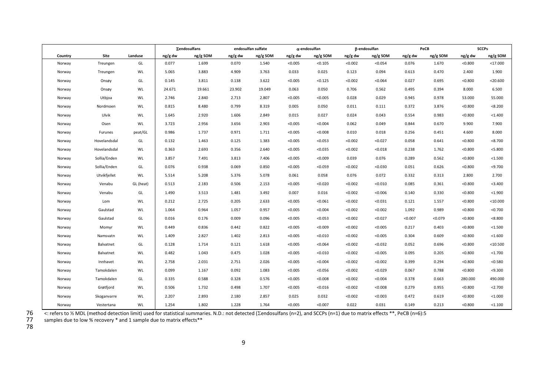|         |              |           |         | Σendosulfans |         | endosulfan sulfate |         | $\alpha$ -endosulfan |         | B-endosulfan |         | PeCB     |         | <b>SCCPs</b> |
|---------|--------------|-----------|---------|--------------|---------|--------------------|---------|----------------------|---------|--------------|---------|----------|---------|--------------|
| Country | Site         | Landuse   | ng/g dw | ng/g SOM     | ng/g dw | ng/g SOM           | ng/g dw | ng/g SOM             | ng/g dw | ng/g SOM     | ng/g dw | ng/g SOM | ng/g dw | ng/g SOM     |
| Norway  | Treungen     | GL        | 0.077   | 1.699        | 0.070   | 1.540              | < 0.005 | < 0.105              | < 0.002 | < 0.054      | 0.076   | 1.670    | < 0.800 | $<$ 17.000   |
| Norway  | Treungen     | WL        | 5.065   | 3.883        | 4.909   | 3.763              | 0.033   | 0.025                | 0.123   | 0.094        | 0.613   | 0.470    | 2.400   | 1.900        |
| Norway  | Onsøy        | GL        | 0.145   | 3.811        | 0.138   | 3.622              | < 0.005 | < 0.125              | < 0.002 | < 0.064      | 0.027   | 0.695    | < 0.800 | $<$ 20.600   |
| Norway  | Onsøy        | WL        | 24.671  | 19.661       | 23.902  | 19.049             | 0.063   | 0.050                | 0.706   | 0.562        | 0.495   | 0.394    | 8.000   | 6.500        |
| Norway  | Utbjoa       | WL        | 2.746   | 2.840        | 2.713   | 2.807              | < 0.005 | < 0.005              | 0.028   | 0.029        | 0.945   | 0.978    | 53.000  | 55.000       |
| Norway  | Nordmoen     | WL        | 0.815   | 8.480        | 0.799   | 8.319              | 0.005   | 0.050                | 0.011   | 0.111        | 0.372   | 3.876    | < 0.800 | < 8.200      |
| Norway  | Ulvik        | WL        | 1.645   | 2.920        | 1.606   | 2.849              | 0.015   | 0.027                | 0.024   | 0.043        | 0.554   | 0.983    | < 0.800 | < 1.400      |
| Norway  | Osen         | WL        | 3.723   | 2.956        | 3.656   | 2.903              | < 0.005 | < 0.004              | 0.062   | 0.049        | 0.844   | 0.670    | 9.900   | 7.900        |
| Norway  | Furunes      | peat/GL   | 0.986   | 1.737        | 0.971   | 1.711              | < 0.005 | < 0.008              | 0.010   | 0.018        | 0.256   | 0.451    | 4.600   | 8.000        |
| Norway  | Hovelandsdal | GL        | 0.132   | 1.463        | 0.125   | 1.383              | < 0.005 | < 0.053              | < 0.002 | < 0.027      | 0.058   | 0.641    | < 0.800 | < 8.700      |
| Norway  | Hovelandsdal | WL        | 0.363   | 2.693        | 0.356   | 2.640              | < 0.005 | < 0.035              | < 0.002 | < 0.018      | 0.238   | 1.762    | < 0.800 | < 5.800      |
| Norway  | Sollia/Enden | WL        | 3.857   | 7.491        | 3.813   | 7.406              | < 0.005 | < 0.009              | 0.039   | 0.076        | 0.289   | 0.562    | < 0.800 | < 1.500      |
| Norway  | Sollia/Enden | GL        | 0.076   | 0.938        | 0.069   | 0.850              | < 0.005 | < 0.059              | < 0.002 | < 0.030      | 0.051   | 0.626    | < 0.800 | < 9.700      |
| Norway  | Utvikfjellet | WL        | 5.514   | 5.208        | 5.376   | 5.078              | 0.061   | 0.058                | 0.076   | 0.072        | 0.332   | 0.313    | 2.800   | 2.700        |
| Norway  | Venabu       | GL (heat) | 0.513   | 2.183        | 0.506   | 2.153              | < 0.005 | < 0.020              | < 0.002 | < 0.010      | 0.085   | 0.361    | < 0.800 | < 3.400      |
| Norway  | Venabu       | GL        | 1.490   | 3.513        | 1.481   | 3.492              | 0.007   | 0.016                | < 0.002 | < 0.006      | 0.140   | 0.330    | < 0.800 | < 1.900      |
| Norway  | Lom          | WL        | 0.212   | 2.725        | 0.205   | 2.633              | < 0.005 | < 0.061              | < 0.002 | < 0.031      | 0.121   | 1.557    | < 0.800 | $<$ 10.000   |
| Norway  | Gaulstad     | WL        | 1.064   | 0.964        | 1.057   | 0.957              | < 0.005 | < 0.004              | < 0.002 | < 0.002      | 1.092   | 0.989    | < 0.800 | < 0.700      |
| Norway  | Gaulstad     | GL        | 0.016   | 0.176        | 0.009   | 0.096              | < 0.005 | < 0.053              | < 0.002 | < 0.027      | < 0.007 | < 0.079  | < 0.800 | < 8.800      |
| Norway  | Momyr        | WL        | 0.449   | 0.836        | 0.442   | 0.822              | < 0.005 | < 0.009              | < 0.002 | < 0.005      | 0.217   | 0.403    | < 0.800 | < 1.500      |
| Norway  | Namsvatn     | WL        | 1.409   | 2.827        | 1.402   | 2.813              | < 0.005 | < 0.010              | < 0.002 | < 0.005      | 0.304   | 0.609    | < 0.800 | < 1.600      |
| Norway  | Balvatnet    | GL        | 0.128   | 1.714        | 0.121   | 1.618              | < 0.005 | < 0.064              | < 0.002 | < 0.032      | 0.052   | 0.696    | < 0.800 | $<$ 10.500   |
| Norway  | Balvatnet    | WL        | 0.482   | 1.043        | 0.475   | 1.028              | < 0.005 | < 0.010              | < 0.002 | < 0.005      | 0.095   | 0.205    | < 0.800 | < 1.700      |
| Norway  | Innhavet     | WL        | 2.758   | 2.031        | 2.751   | 2.026              | < 0.005 | < 0.004              | < 0.002 | < 0.002      | 0.399   | 0.294    | < 0.800 | < 0.580      |
| Norway  | Tamokdalen   | WL        | 0.099   | 1.167        | 0.092   | 1.083              | < 0.005 | < 0.056              | < 0.002 | < 0.029      | 0.067   | 0.788    | < 0.800 | < 9.300      |
| Norway  | Tamokdalen   | GL        | 0.335   | 0.588        | 0.328   | 0.576              | < 0.005 | < 0.008              | < 0.002 | < 0.004      | 0.378   | 0.663    | 280.000 | 490.000      |
| Norway  | Grøtfjord    | WL        | 0.506   | 1.732        | 0.498   | 1.707              | < 0.005 | < 0.016              | < 0.002 | < 0.008      | 0.279   | 0.955    | < 0.800 | < 2.700      |
| Norway  | Skoganvarre  | WL        | 2.207   | 2.893        | 2.180   | 2.857              | 0.025   | 0.032                | < 0.002 | < 0.003      | 0.472   | 0.619    | < 0.800 | < 1.000      |
| Norway  | Vestertana   | WL        | 1.254   | 1.802        | 1.228   | 1.764              | < 0.005 | < 0.007              | 0.022   | 0.031        | 0.149   | 0.213    | < 0.800 | < 1.100      |

76 <: refers to ½ MDL (method detection limit) used for statistical summaries. N.D.: not detected ( $\Sigma$ endosulfans (n=2), and SCCPs (n=1) due to matrix effects \*\*, PeCB (n=6):5

77 samples due to low % recovery \* and 1 sample due to matrix effects\*\*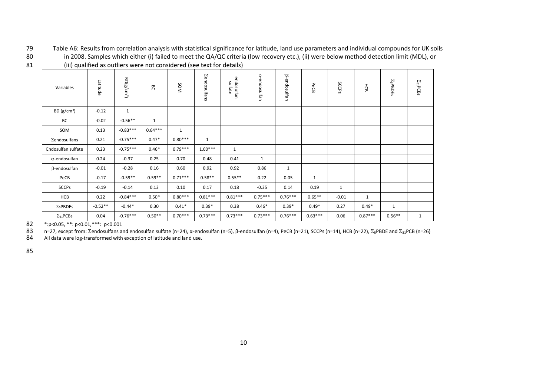79 Table A6: Results from correlation analysis with statistical significance for latitude, land use parameters and individual compounds for UK soils 80 in 2008. Samples which either (i) failed to meet the QA/QC criteria (low recovery etc.), (ii) were below method detection limit (MDL), or

|                      | $\cdots$ , decomed<br>$\frac{1}{2}$ |              |              |              |                     |                       |              |                     |              |              |              |                  |                    |
|----------------------|-------------------------------------|--------------|--------------|--------------|---------------------|-----------------------|--------------|---------------------|--------------|--------------|--------------|------------------|--------------------|
| Variables            | Latitude                            | $BD(g/cm^3)$ | 8            | SOM          | <b>Zendosulfans</b> | endosulfan<br>sulfate | a-endosulfan | <b>B-endosulfan</b> | PeCB         | SCCPS        | HCB          | $\Sigma_5$ PBDEs | $\Sigma_{31}$ PCBs |
| BD $(g/cm^3)$        | $-0.12$                             | $\mathbf{1}$ |              |              |                     |                       |              |                     |              |              |              |                  |                    |
| BC                   | $-0.02$                             | $-0.56**$    | $\mathbf{1}$ |              |                     |                       |              |                     |              |              |              |                  |                    |
| SOM                  | 0.13                                | $-0.83***$   | $0.64***$    | $\mathbf{1}$ |                     |                       |              |                     |              |              |              |                  |                    |
| Σendosulfans         | 0.21                                | $-0.75***$   | $0.47*$      | $0.80***$    | $\mathbf{1}$        |                       |              |                     |              |              |              |                  |                    |
| Endosulfan sulfate   | 0.23                                | $-0.75***$   | $0.46*$      | $0.79***$    | $1.00***$           | $\mathbf{1}$          |              |                     |              |              |              |                  |                    |
| $\alpha$ -endosulfan | 0.24                                | $-0.37$      | 0.25         | 0.70         | 0.48                | 0.41                  | $\mathbf{1}$ |                     |              |              |              |                  |                    |
| $\beta$ -endosulfan  | $-0.01$                             | $-0.28$      | 0.16         | 0.60         | 0.92                | 0.92                  | 0.86         | $\mathbf{1}$        |              |              |              |                  |                    |
| PeCB                 | $-0.17$                             | $-0.59**$    | $0.59**$     | $0.71***$    | $0.58**$            | $0.55***$             | 0.22         | 0.05                | $\mathbf{1}$ |              |              |                  |                    |
| <b>SCCPs</b>         | $-0.19$                             | $-0.14$      | 0.13         | 0.10         | 0.17                | 0.18                  | $-0.35$      | 0.14                | 0.19         | $\mathbf{1}$ |              |                  |                    |
| HCB                  | 0.22                                | $-0.84***$   | $0.50*$      | $0.80***$    | $0.81***$           | $0.81***$             | $0.75***$    | $0.76***$           | $0.65***$    | $-0.01$      | $\mathbf{1}$ |                  |                    |
| $\Sigma_5$ PBDEs     | $-0.52**$                           | $-0.44*$     | 0.30         | $0.41*$      | $0.39*$             | 0.38                  | $0.46*$      | $0.39*$             | $0.49*$      | 0.27         | $0.49*$      | $\mathbf{1}$     |                    |
| $\Sigma_{31}$ PCBs   | 0.04                                | $-0.76***$   | $0.50**$     | $0.70***$    | $0.73***$           | $0.73***$             | $0.73***$    | $0.76***$           | $0.63***$    | 0.06         | $0.87***$    | $0.56***$        | $\mathbf{1}$       |

81 (iii) qualified as outliers were not considered (see text for details)

<span id="page-9-0"></span>82 \*: p<0.05, \*\*: p<0.01, \*\*\*: p<0.001<br>83 n=27, except from: ∑endosulfans are

83 n=27, except from: Σendosulfans and endosulfan sulfate (n=24), α-endosulfan (n=5), β-endosulfan (n=4), PeCB (n=21), SCCPs (n=14), HCB (n=22), Σ<sub>5</sub>PBDE and Σ<sub>31</sub>PCB (n=26)<br>84 All data were log-transformed with exceptio

All data were log-transformed with exception of latitude and land use.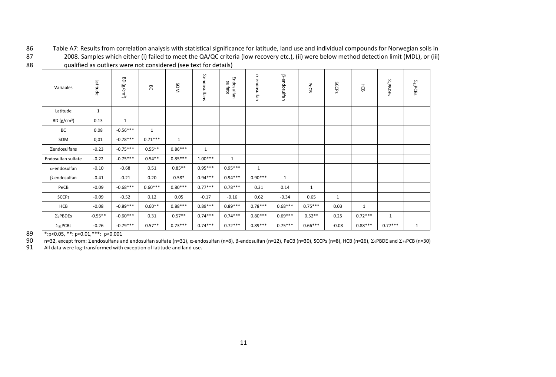86 Table A7: Results from correlation analysis with statistical significance for latitude, land use and individual compounds for Norwegian soils in 87 2008. Samples which either (i) failed to meet the QA/QC criteria (low recovery etc.), (ii) were below method detection limit (MDL), or (iii) 88 qualified as outliers were not considered (see text for details)

| Variables            | Latitude     | BD (g/cm <sup>3</sup> ) | గొ           | NOS       | <b>Zendosulfans</b> | Endosulfan<br>sulfate | a-endosulfan | ß-endosulfan | PeCB      | SCCPS   | 종            | $\Sigma$ <sub>5</sub> PBDEs | $\Sigma_{\rm 31}$ PCBs |
|----------------------|--------------|-------------------------|--------------|-----------|---------------------|-----------------------|--------------|--------------|-----------|---------|--------------|-----------------------------|------------------------|
| Latitude             | $\mathbf{1}$ |                         |              |           |                     |                       |              |              |           |         |              |                             |                        |
| BD $(g/cm^3)$        | 0.13         | 1                       |              |           |                     |                       |              |              |           |         |              |                             |                        |
| BC                   | 0.08         | $-0.56***$              | $\mathbf{1}$ |           |                     |                       |              |              |           |         |              |                             |                        |
| SOM                  | 0,01         | $-0.78***$              | $0.71***$    | 1         |                     |                       |              |              |           |         |              |                             |                        |
| Σendosulfans         | $-0.23$      | $-0.75***$              | $0.55***$    | $0.86***$ | $\mathbf{1}$        |                       |              |              |           |         |              |                             |                        |
| Endosulfan sulfate   | $-0.22$      | $-0.75***$              | $0.54**$     | $0.85***$ | $1.00***$           | $\mathbf{1}$          |              |              |           |         |              |                             |                        |
| $\alpha$ -endosulfan | $-0.10$      | $-0.68$                 | 0.51         | $0.85***$ | $0.95***$           | $0.95***$             | $\mathbf{1}$ |              |           |         |              |                             |                        |
| $\beta$ -endosulfan  | $-0.41$      | $-0.21$                 | 0.20         | $0.58*$   | $0.94***$           | $0.94***$             | $0.90***$    | $\mathbf{1}$ |           |         |              |                             |                        |
| PeCB                 | $-0.09$      | $-0.68***$              | $0.60***$    | $0.80***$ | $0.77***$           | $0.78***$             | 0.31         | 0.14         | 1         |         |              |                             |                        |
| <b>SCCPs</b>         | $-0.09$      | $-0.52$                 | 0.12         | 0.05      | $-0.17$             | $-0.16$               | 0.62         | $-0.34$      | 0.65      | 1       |              |                             |                        |
| HCB                  | $-0.08$      | $-0.89***$              | $0.60**$     | $0.88***$ | $0.89***$           | $0.89***$             | $0.78***$    | $0.68***$    | $0.75***$ | 0.03    | $\mathbf{1}$ |                             |                        |
| $\Sigma_5$ PBDEs     | $-0.55**$    | $-0.60***$              | 0.31         | $0.57**$  | $0.74***$           | $0.74***$             | $0.80***$    | $0.69***$    | $0.52**$  | 0.25    | $0.72***$    | $\mathbf{1}$                |                        |
| $\Sigma_{31}$ PCBs   | $-0.26$      | $-0.79***$              | $0.57**$     | $0.73***$ | $0.74***$           | $0.72***$             | $0.89***$    | $0.75***$    | $0.66***$ | $-0.08$ | $0.88***$    | $0.77***$                   | 1                      |

<span id="page-10-0"></span>89 \*: p<0.05, \*\*: p<0.01, \*\*\*: p<0.001<br>90 n=32, except from: Σendosulfans at 90 n=32, except from: Σendosulfans and endosulfan sulfate (n=31), α-endosulfan (n=8), β-endosulfan (n=12), PeCB (n=30), SCCPs (n=8), HCB (n=26), Σ<sub>5</sub>PBDE and Σ<sub>31</sub>PCB (n=30)<br>91 All data were log-transformed with exceptio

All data were log-transformed with exception of latitude and land use.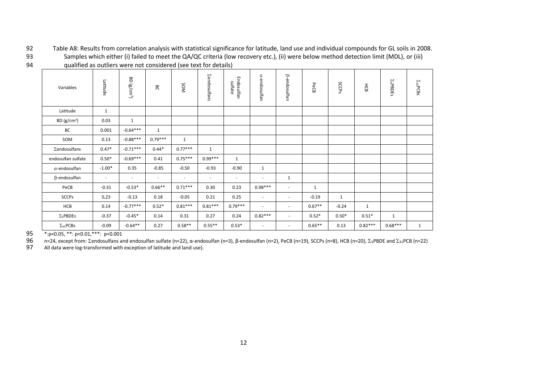92 Table A8: Results from correlation analysis with statistical significance for latitude, land use and individual compounds for GL soils in 2008.

93 Samples which either (i) failed to meet the QA/QC criteria (low recovery etc.), (ii) were below method detection limit (MDL), or (iii) 94 qualified as outliers were not considered (see text for details)

| Variables               | Latitude     | 8D<br>(g/cm <sup>3</sup> ) | පි                       | NOS                      | <b>Zendosulfans</b>      | Endosulfan<br>sulfate    | a-endosulfan             | B-endosulfan             | PeCB         | SCCPS        | HCB       | $\Sigma$ <sub>5</sub> PBDEs | $\Sigma_{\rm 31}$ PCBs |
|-------------------------|--------------|----------------------------|--------------------------|--------------------------|--------------------------|--------------------------|--------------------------|--------------------------|--------------|--------------|-----------|-----------------------------|------------------------|
| Latitude                | $\mathbf{1}$ |                            |                          |                          |                          |                          |                          |                          |              |              |           |                             |                        |
| BD (g/cm <sup>3</sup> ) | 0.03         | $\mathbf{1}$               |                          |                          |                          |                          |                          |                          |              |              |           |                             |                        |
| BC                      | 0.001        | $-0.64***$                 | $\mathbf{1}$             |                          |                          |                          |                          |                          |              |              |           |                             |                        |
| SOM                     | 0.13         | $-0.88***$                 | $0.79***$                | $\mathbf{1}$             |                          |                          |                          |                          |              |              |           |                             |                        |
| $\Sigma$ endosulfans    | $0.47*$      | $-0.71***$                 | $0.44*$                  | $0.77***$                | $\mathbf{1}$             |                          |                          |                          |              |              |           |                             |                        |
| endosulfan sulfate      | $0.50*$      | $-0.69***$                 | 0.41                     | $0.75***$                | $0.99***$                | $\mathbf{1}$             |                          |                          |              |              |           |                             |                        |
| $\alpha$ -endosulfan    | $-1.00*$     | 0.35                       | $-0.85$                  | $-0.50$                  | $-0.93$                  | $-0.90$                  | $\mathbf{1}$             |                          |              |              |           |                             |                        |
| $\beta$ -endosulfan     | $\sim$       | $\overline{\phantom{a}}$   | $\overline{\phantom{a}}$ | $\overline{\phantom{a}}$ | $\overline{\phantom{a}}$ | $\overline{\phantom{a}}$ | $\overline{\phantom{a}}$ | $\mathbf{1}$             |              |              |           |                             |                        |
| PeCB                    | $-0.31$      | $-0.53*$                   | $0.66***$                | $0.71***$                | 0.30                     | 0.23                     | $0.98***$                | $\overline{\phantom{a}}$ | $\mathbf{1}$ |              |           |                             |                        |
| <b>SCCPs</b>            | 0,23         | $-0.13$                    | 0.18                     | $-0.05$                  | 0.21                     | 0.25                     | $\overline{\phantom{a}}$ | $\overline{\phantom{a}}$ | $-0.19$      | $\mathbf{1}$ |           |                             |                        |
| HCB                     | 0.14         | $-0.77***$                 | $0.52*$                  | $0.81***$                | $0.81***$                | $0.79***$                | $\sim$                   | $\overline{\phantom{a}}$ | $0.67**$     | $-0.24$      | 1         |                             |                        |
| $\Sigma_5$ PBDEs        | $-0.37$      | $-0.45*$                   | 0.14                     | 0.31                     | 0.27                     | 0.24                     | $0.82***$                | $\blacksquare$           | $0.52*$      | $0.50*$      | $0.51*$   | $\mathbf{1}$                |                        |
| $\Sigma_{31}$ PCBs      | $-0.09$      | $-0.64**$                  | 0.27                     | $0.58**$                 | $0.55***$                | $0.53*$                  | $\sim$                   | $\overline{\phantom{a}}$ | $0.65***$    | 0.13         | $0.82***$ | $0.68***$                   | $\mathbf{1}$           |

<span id="page-11-0"></span>95 \*: p<0.05, \*\*: p<0.01, \*\*\*: p<0.001<br>96 n=24, except from:  $\Sigma$ endosulfans are 96 n=24, except from: Σendosulfans and endosulfan sulfate (n=22), α-endosulfan (n=3), β-endosulfan (n=2), PeCB (n=19), SCCPs (n=8), HCB (n=20), Σ<sub>5</sub>PBDE and Σ<sub>31</sub>PCB (n=22)<br>97 All data were log-transformed with exception

All data were log-transformed with exception of latitude and land use).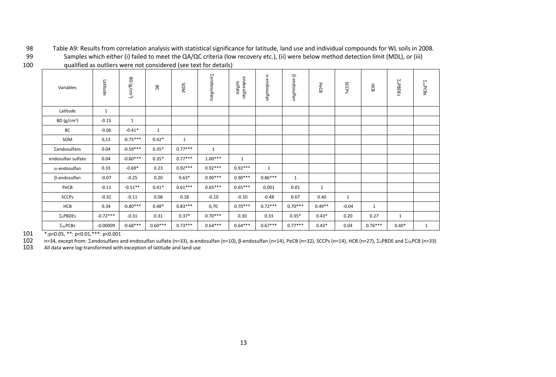98 Table A9: Results from correlation analysis with statistical significance for latitude, land use and individual compounds for WL soils in 2008. 99 Samples which either (i) failed to meet the QA/QC criteria (low recovery etc.), (ii) were below method detection limit (MDL), or (iii)

| ۰. |  |
|----|--|

100 qualified as outliers were not considered (see text for details)

| Variables            | Latitude     | <b>BD</b><br>$(g/cm^3)$ | පි           | SOM          | <b>Zendosulfans</b> | endosulfan<br>sulfate | a-endosulfan | ß-endosulfan | PeCB     | SCCPS        | HCB          | $\Sigma_5$ PBDEs | $\Sigma_{31}$ PCBs |
|----------------------|--------------|-------------------------|--------------|--------------|---------------------|-----------------------|--------------|--------------|----------|--------------|--------------|------------------|--------------------|
| Latitude             | $\mathbf{1}$ |                         |              |              |                     |                       |              |              |          |              |              |                  |                    |
| BD $(g/cm^3)$        | $-0.15$      | $\mathbf{1}$            |              |              |                     |                       |              |              |          |              |              |                  |                    |
| BC                   | $-0.06$      | $-0.41*$                | $\mathbf{1}$ |              |                     |                       |              |              |          |              |              |                  |                    |
| SOM                  | 0,13         | $-0.75***$              | $0.42*$      | $\mathbf{1}$ |                     |                       |              |              |          |              |              |                  |                    |
| Σendosulfans         | 0.04         | $-0.59***$              | $0.35*$      | $0.77***$    | $\mathbf{1}$        |                       |              |              |          |              |              |                  |                    |
| endosulfan sulfate   | 0.04         | $-0.60***$              | $0.35*$      | $0.77***$    | $1.00***$           | $\mathbf{1}$          |              |              |          |              |              |                  |                    |
| $\alpha$ -endosulfan | 0.33         | $-0.69*$                | 0.23         | $0.92***$    | $0.92***$           | $0.92***$             | $\mathbf{1}$ |              |          |              |              |                  |                    |
| $\beta$ -endosulfan  | $-0.07$      | $-0.25$                 | 0.20         | $0.63*$      | $0.90***$           | $0.90***$             | $0.86***$    | $\mathbf{1}$ |          |              |              |                  |                    |
| PeCB                 | $-0.11$      | $-0.51**$               | $0.41*$      | $0.61***$    | $0.65***$           | $0.65***$             | 0.001        | 0.01         | 1        |              |              |                  |                    |
| <b>SCCPs</b>         | $-0.32$      | $-0.11$                 | 0.08         | 0.18         | $-0.10$             | $-0.10$               | $-0.48$      | 0.07         | 0.40     | $\mathbf{1}$ |              |                  |                    |
| HCB                  | 0.34         | $-0.80***$              | $0.48*$      | $0.83***$    | 0,70                | $0.70***$             | $0.72***$    | $0.70***$    | $0.49**$ | $-0.04$      | $\mathbf{1}$ |                  |                    |
| $\Sigma_5$ PBDEs     | $-0.72***$   | $-0.31$                 | 0.31         | $0.37*$      | $0.70***$           | 0.30                  | 0.33         | $0.35*$      | $0.43*$  | 0.20         | 0.27         | 1                |                    |
| $\Sigma_{31}$ PCBs   | $-0.00009$   | $-0.68***$              | $0.60***$    | $0.73***$    | $0.64***$           | $0.64***$             | $0.67***$    | $0.77***$    | $0.43*$  | 0.04         | $0.76***$    | $0.40*$          | $\mathbf{1}$       |

<span id="page-12-0"></span>

101 \*: p<0.05, \*\*: p<0.01, \*\*\*: p<0.001<br>102 = n=34, except from:  $\Sigma$ endosulfans a 102 n=34, except from: Σendosulfans and endosulfan sulfate (n=33), α-endosulfan (n=10), β-endosulfan (n=14), PeCB (n=32), SCCPs (n=14), HCB (n=27), Σ<sub>5</sub>PBDE and Σ<sub>31</sub>PCB (n=33)<br>103 All data were log-transformed with exce

All data were log-transformed with exception of latitude and land use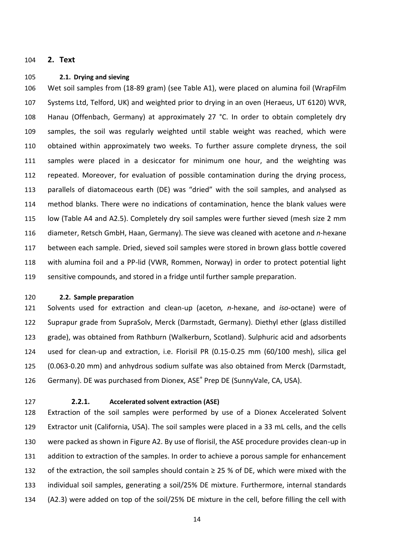#### <span id="page-13-1"></span><span id="page-13-0"></span>**2. Text**

#### **2.1. Drying and sieving**

 Wet soil samples from (18-89 gram) (see Table A1), were placed on alumina foil (WrapFilm Systems Ltd, Telford, UK) and weighted prior to drying in an oven (Heraeus, UT 6120) WVR, Hanau (Offenbach, Germany) at approximately 27 °C. In order to obtain completely dry samples, the soil was regularly weighted until stable weight was reached, which were obtained within approximately two weeks. To further assure complete dryness, the soil samples were placed in a desiccator for minimum one hour, and the weighting was repeated. Moreover, for evaluation of possible contamination during the drying process, parallels of diatomaceous earth (DE) was "dried" with the soil samples, and analysed as method blanks. There were no indications of contamination, hence the blank values were low (Table A4 and A2.5). Completely dry soil samples were further sieved (mesh size 2 mm diameter, Retsch GmbH, Haan, Germany). The sieve was cleaned with acetone and *n*-hexane between each sample. Dried, sieved soil samples were stored in brown glass bottle covered with alumina foil and a PP-lid (VWR, Rommen, Norway) in order to protect potential light sensitive compounds, and stored in a fridge until further sample preparation.

<span id="page-13-2"></span>**2.2. Sample preparation**

 Solvents used for extraction and clean-up (aceton*, n-*hexane, and *iso-*octane) were of Suprapur grade from SupraSolv, Merck (Darmstadt, Germany). Diethyl ether (glass distilled grade), was obtained from Rathburn (Walkerburn, Scotland). Sulphuric acid and adsorbents used for clean-up and extraction, i.e. Florisil PR (0.15-0.25 mm (60/100 mesh), silica gel (0.063-0.20 mm) and anhydrous sodium sulfate was also obtained from Merck (Darmstadt, 126 Germany). DE was purchased from Dionex, ASE® Prep DE (SunnyVale, CA, USA).

<span id="page-13-3"></span>

### **2.2.1. Accelerated solvent extraction (ASE)**

 Extraction of the soil samples were performed by use of a Dionex Accelerated Solvent Extractor unit (California, USA). The soil samples were placed in a 33 mL cells, and the cells were packed as shown in Figure A2. By use of florisil, the ASE procedure provides clean-up in addition to extraction of the samples. In order to achieve a porous sample for enhancement 132 of the extraction, the soil samples should contain  $\geq$  25 % of DE, which were mixed with the individual soil samples, generating a soil/25% DE mixture. Furthermore, internal standards (A2.3) were added on top of the soil/25% DE mixture in the cell, before filling the cell with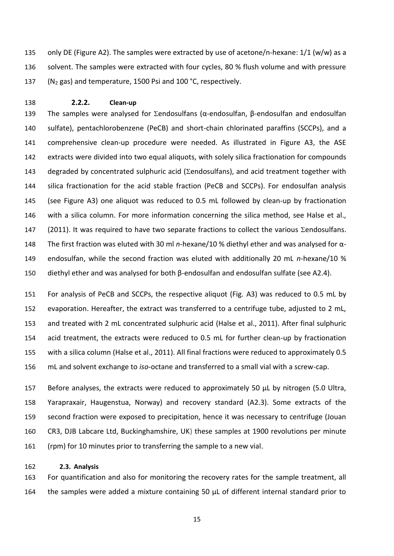<span id="page-14-0"></span> only DE (Figure A2). The samples were extracted by use of acetone/n-hexane: 1/1 (w/w) as a 136 solvent. The samples were extracted with four cycles, 80 % flush volume and with pressure (N<sup>2</sup> gas) and temperature, 1500 Psi and 100 °C, respectively.

#### **2.2.2. Clean-up**

139 The samples were analysed for  $\Sigma$ endosulfans (α-endosulfan, β-endosulfan and endosulfan sulfate), pentachlorobenzene (PeCB) and short-chain chlorinated paraffins (SCCPs), and a comprehensive clean-up procedure were needed. As illustrated in Figure A3, the ASE extracts were divided into two equal aliquots, with solely silica fractionation for compounds 143 degraded by concentrated sulphuric acid ( $\Sigma$ endosulfans), and acid treatment together with silica fractionation for the acid stable fraction (PeCB and SCCPs). For endosulfan analysis (see Figure A3) one aliquot was reduced to 0.5 mL followed by clean-up by fractionation with a silica column. For more information concerning the silica method, see Halse et al., [\(2011\)](#page-23-6). It was required to have two separate fractions to collect the various  $\Sigma$ endosulfans. The first fraction was eluted with 30 ml *n*-hexane/10 % diethyl ether and was analysed for α- endosulfan, while the second fraction was eluted with additionally 20 mL *n*-hexane/10 % diethyl ether and was analysed for both β-endosulfan and endosulfan sulfate (see A2.4).

 For analysis of PeCB and SCCPs, the respective aliquot (Fig. A3) was reduced to 0.5 mL by evaporation. Hereafter, the extract was transferred to a centrifuge tube, adjusted to 2 mL, and treated with 2 mL concentrated sulphuric acid [\(Halse et al., 2011\)](#page-23-6). After final sulphuric acid treatment, the extracts were reduced to 0.5 mL for further clean-up by fractionation with a silica column [\(Halse et al., 2011\)](#page-23-6). All final fractions were reduced to approximately 0.5 mL and solvent exchange to *iso*-octane and transferred to a small vial with a screw-cap.

157 Before analyses, the extracts were reduced to approximately 50 µL by nitrogen (5.0 Ultra, Yarapraxair, Haugenstua, Norway) and recovery standard (A2.3). Some extracts of the second fraction were exposed to precipitation, hence it was necessary to centrifuge (Jouan CR3, DJB Labcare Ltd, Buckinghamshire, UK) these samples at 1900 revolutions per minute (rpm) for 10 minutes prior to transferring the sample to a new vial.

#### <span id="page-14-1"></span>**2.3. Analysis**

 For quantification and also for monitoring the recovery rates for the sample treatment, all the samples were added a mixture containing 50 µL of different internal standard prior to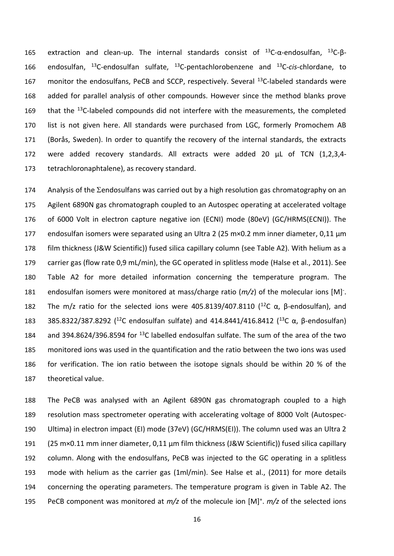165 extraction and clean-up. The internal standards consist of  $^{13}$ C-α-endosulfan,  $^{13}$ C-β-166 endosulfan, <sup>13</sup>C-endosulfan sulfate, <sup>13</sup>C-pentachlorobenzene and <sup>13</sup>C-*cis*-chlordane, to 167 monitor the endosulfans, PeCB and SCCP, respectively. Several  $^{13}$ C-labeled standards were added for parallel analysis of other compounds. However since the method blanks prove 169 that the <sup>13</sup>C-labeled compounds did not interfere with the measurements, the completed list is not given here. All standards were purchased from LGC, formerly Promochem AB (Borås, Sweden). In order to quantify the recovery of the internal standards, the extracts were added recovery standards. All extracts were added 20 µL of TCN (1,2,3,4- tetrachloronaphtalene), as recovery standard.

174 Analysis of the  $\Sigma$ endosulfans was carried out by a high resolution gas chromatography on an Agilent 6890N gas chromatograph coupled to an Autospec operating at accelerated voltage of 6000 Volt in electron capture negative ion (ECNI) mode (80eV) (GC/HRMS(ECNI)). The 177 endosulfan isomers were separated using an Ultra 2 (25 m×0.2 mm inner diameter, 0,11 µm film thickness (J&W Scientific)) fused silica capillary column (see Table A2). With helium as a carrier gas (flow rate 0,9 mL/min), the GC operated in splitless mode [\(Halse et al., 2011\)](#page-23-6). See Table A2 for more detailed information concerning the temperature program. The 181 endosulfan isomers were monitored at mass/charge ratio  $(m/z)$  of the molecular ions  $[M]$ <sup>-</sup>. 182 The m/z ratio for the selected ions were 405.8139/407.8110 (<sup>12</sup>C  $\alpha$ ,  $\beta$ -endosulfan), and 183 385.8322/387.8292 (<sup>12</sup>C endosulfan sulfate) and 414.8441/416.8412 (<sup>13</sup>C α, β-endosulfan) 184 and 394.8624/396.8594 for  $^{13}$ C labelled endosulfan sulfate. The sum of the area of the two monitored ions was used in the quantification and the ratio between the two ions was used for verification. The ion ratio between the isotope signals should be within 20 % of the theoretical value.

 The PeCB was analysed with an Agilent 6890N gas chromatograph coupled to a high resolution mass spectrometer operating with accelerating voltage of 8000 Volt (Autospec- Ultima) in electron impact (EI) mode (37eV) (GC/HRMS(EI)). The column used was an Ultra 2 191 (25 m×0.11 mm inner diameter, 0,11 µm film thickness (J&W Scientific)) fused silica capillary column. Along with the endosulfans, PeCB was injected to the GC operating in a splitless mode with helium as the carrier gas (1ml/min). See Halse et al., [\(2011\)](#page-23-6) for more details concerning the operating parameters. The temperature program is given in Table A2. The 195 PeCB component was monitored at  $m/z$  of the molecule ion  $[M]^+$ .  $m/z$  of the selected ions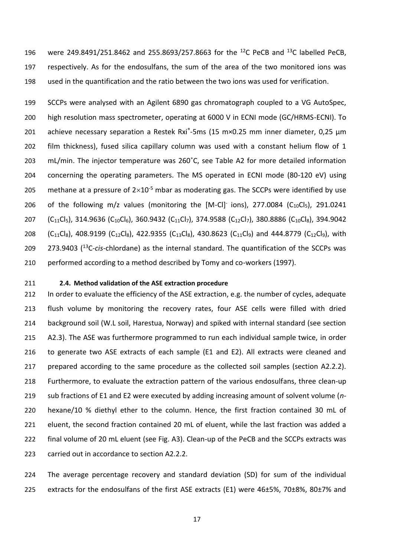196 were 249.8491/251.8462 and 255.8693/257.8663 for the <sup>12</sup>C PeCB and <sup>13</sup>C labelled PeCB, respectively. As for the endosulfans, the sum of the area of the two monitored ions was used in the quantification and the ratio between the two ions was used for verification.

 SCCPs were analysed with an Agilent 6890 gas chromatograph coupled to a VG AutoSpec, high resolution mass spectrometer, operating at 6000 V in ECNI mode (GC/HRMS-ECNI). To 201 achieve necessary separation a Restek Rxi®-5ms (15 m×0.25 mm inner diameter, 0,25  $\mu$ m film thickness), fused silica capillary column was used with a constant helium flow of 1 mL/min. The injector temperature was 260˚C, see Table A2 for more detailed information concerning the operating parameters. The MS operated in ECNI mode (80-120 eV) using 205 methane at a pressure of  $2\times10^{-5}$  mbar as moderating gas. The SCCPs were identified by use 206 of the following m/z values (monitoring the  $[M-Cl]$ <sup>-</sup> ions), 277.0084 (C<sub>10</sub>Cl<sub>5</sub>), 291.0241 207 (C<sub>11</sub>Cl<sub>5</sub>), 314.9636 (C<sub>10</sub>Cl<sub>6</sub>), 360.9432 (C<sub>11</sub>Cl<sub>7</sub>), 374.9588 (C<sub>12</sub>Cl<sub>7</sub>), 380.8886 (C<sub>10</sub>Cl<sub>8</sub>), 394.9042 208 (C<sub>11</sub>Cl<sub>8</sub>), 408.9199 (C<sub>12</sub>Cl<sub>8</sub>), 422.9355 (C<sub>13</sub>Cl<sub>8</sub>), 430.8623 (C<sub>11</sub>Cl<sub>9</sub>) and 444.8779 (C<sub>12</sub>Cl<sub>9</sub>), with 209 273.9403 (<sup>13</sup>C-*cis*-chlordane) as the internal standard. The quantification of the SCCPs was performed according to a method described by Tomy and co-workers [\(1997\)](#page-23-7).

#### <span id="page-16-0"></span>**2.4. Method validation of the ASE extraction procedure**

212 In order to evaluate the efficiency of the ASE extraction, e.g. the number of cycles, adequate flush volume by monitoring the recovery rates, four ASE cells were filled with dried background soil (W.L soil, Harestua, Norway) and spiked with internal standard (see section A2.3). The ASE was furthermore programmed to run each individual sample twice, in order to generate two ASE extracts of each sample (E1 and E2). All extracts were cleaned and prepared according to the same procedure as the collected soil samples (section A2.2.2). Furthermore, to evaluate the extraction pattern of the various endosulfans, three clean-up sub fractions of E1 and E2 were executed by adding increasing amount of solvent volume (*n*- hexane/10 % diethyl ether to the column. Hence, the first fraction contained 30 mL of 221 eluent, the second fraction contained 20 mL of eluent, while the last fraction was added a final volume of 20 mL eluent (see Fig. A3). Clean-up of the PeCB and the SCCPs extracts was carried out in accordance to section A2.2.2.

 The average percentage recovery and standard deviation (SD) for sum of the individual 225 extracts for the endosulfans of the first ASE extracts (E1) were 46±5%, 70±8%, 80±7% and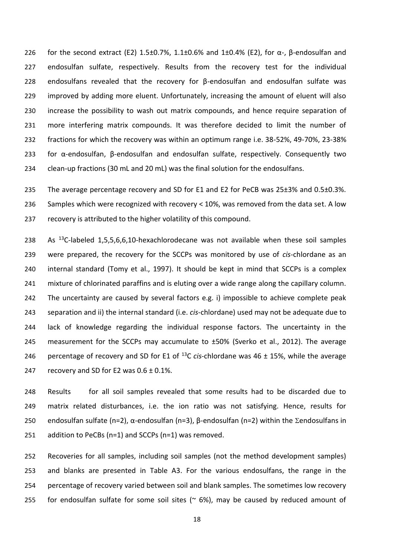226 for the second extract (E2) 1.5 $\pm$ 0.7%, 1.1 $\pm$ 0.6% and 1 $\pm$ 0.4% (E2), for  $\alpha$ -,  $\beta$ -endosulfan and endosulfan sulfate, respectively. Results from the recovery test for the individual endosulfans revealed that the recovery for β-endosulfan and endosulfan sulfate was improved by adding more eluent. Unfortunately, increasing the amount of eluent will also increase the possibility to wash out matrix compounds, and hence require separation of more interfering matrix compounds. It was therefore decided to limit the number of fractions for which the recovery was within an optimum range i.e. 38-52%, 49-70%, 23-38% for α-endosulfan, β-endosulfan and endosulfan sulfate, respectively. Consequently two clean-up fractions (30 mL and 20 mL) was the final solution for the endosulfans.

 The average percentage recovery and SD for E1 and E2 for PeCB was 25±3% and 0.5±0.3%. Samples which were recognized with recovery < 10%, was removed from the data set. A low recovery is attributed to the higher volatility of this compound.

238 As  $^{13}$ C-labeled 1,5,5,6,6,10-hexachlorodecane was not available when these soil samples were prepared, the recovery for the SCCPs was monitored by use of *cis*-chlordane as an internal standard [\(Tomy et al., 1997\)](#page-23-7). It should be kept in mind that SCCPs is a complex mixture of chlorinated paraffins and is eluting over a wide range along the capillary column. The uncertainty are caused by several factors e.g. i) impossible to achieve complete peak separation and ii) the internal standard (i.e. *cis*-chlordane) used may not be adequate due to lack of knowledge regarding the individual response factors. The uncertainty in the 245 measurement for the SCCPs may accumulate to ±50% [\(Sverko et al., 2012\)](#page-23-8). The average 246 percentage of recovery and SD for E1 of  $^{13}$ C *cis*-chlordane was 46  $\pm$  15%, while the average 247 recovery and SD for E2 was  $0.6 \pm 0.1\%$ .

 Results for all soil samples revealed that some results had to be discarded due to matrix related disturbances, i.e. the ion ratio was not satisfying. Hence, results for 250 endosulfan sulfate (n=2), α-endosulfan (n=3), β-endosulfan (n=2) within the Σendosulfans in addition to PeCBs (n=1) and SCCPs (n=1) was removed.

 Recoveries for all samples, including soil samples (not the method development samples) and blanks are presented in Table A3. For the various endosulfans, the range in the percentage of recovery varied between soil and blank samples. The sometimes low recovery 255 for endosulfan sulfate for some soil sites ( $\approx$  6%), may be caused by reduced amount of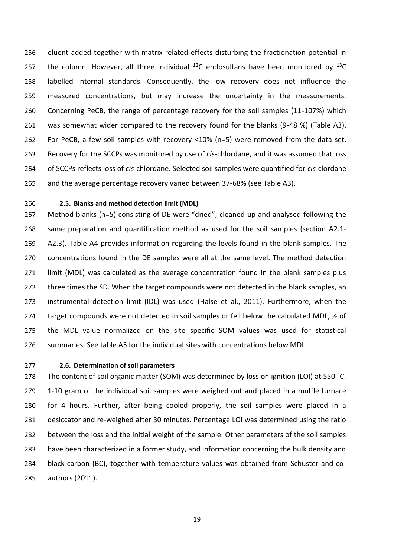eluent added together with matrix related effects disturbing the fractionation potential in 257 the column. However, all three individual  $^{12}$ C endosulfans have been monitored by  $^{13}$ C labelled internal standards. Consequently, the low recovery does not influence the measured concentrations, but may increase the uncertainty in the measurements. Concerning PeCB, the range of percentage recovery for the soil samples (11-107%) which was somewhat wider compared to the recovery found for the blanks (9-48 %) (Table A3). For PeCB, a few soil samples with recovery <10% (n=5) were removed from the data-set. Recovery for the SCCPs was monitored by use of *cis*-chlordane, and it was assumed that loss of SCCPs reflects loss of *cis*-chlordane. Selected soil samples were quantified for *cis-*clordane and the average percentage recovery varied between 37-68% (see Table A3).

<span id="page-18-0"></span>

#### **2.5. Blanks and method detection limit (MDL)**

 Method blanks (n=5) consisting of DE were "dried", cleaned-up and analysed following the same preparation and quantification method as used for the soil samples (section A2.1- A2.3). Table A4 provides information regarding the levels found in the blank samples. The concentrations found in the DE samples were all at the same level. The method detection limit (MDL) was calculated as the average concentration found in the blank samples plus 272 three times the SD. When the target compounds were not detected in the blank samples, an instrumental detection limit (IDL) was used [\(Halse et al., 2011\)](#page-23-6). Furthermore, when the 274 target compounds were not detected in soil samples or fell below the calculated MDL,  $\frac{1}{2}$  of the MDL value normalized on the site specific SOM values was used for statistical summaries. See table A5 for the individual sites with concentrations below MDL.

### <span id="page-18-1"></span>**2.6. Determination of soil parameters**

278 The content of soil organic matter (SOM) was determined by loss on ignition (LOI) at 550 °C. 1-10 gram of the individual soil samples were weighed out and placed in a muffle furnace for 4 hours. Further, after being cooled properly, the soil samples were placed in a desiccator and re-weighed after 30 minutes. Percentage LOI was determined using the ratio between the loss and the initial weight of the sample. Other parameters of the soil samples have been characterized in a former study, and information concerning the bulk density and black carbon (BC), together with temperature values was obtained from Schuster and co-authors [\(2011\)](#page-23-9).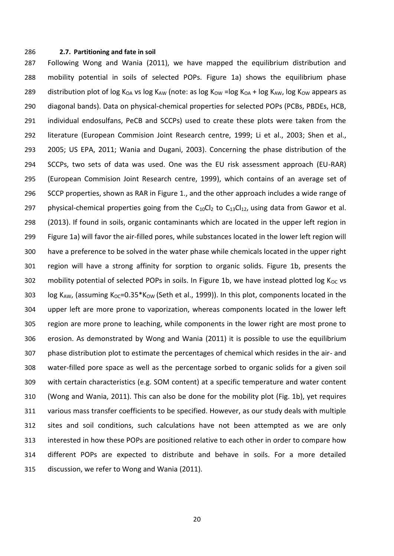#### <span id="page-19-0"></span>**2.7. Partitioning and fate in soil**

 Following Wong and Wania [\(2011\)](#page-24-1), we have mapped the equilibrium distribution and mobility potential in soils of selected POPs. Figure 1a) shows the equilibrium phase 289 distribution plot of log K<sub>OA</sub> vs log K<sub>AW</sub> (note: as log K<sub>OW</sub> =log K<sub>OA</sub> + log K<sub>AW</sub>, log K<sub>OW</sub> appears as diagonal bands). Data on physical-chemical properties for selected POPs (PCBs, PBDEs, HCB, individual endosulfans, PeCB and SCCPs) used to create these plots were taken from the literature [\(European Commision Joint Research centre, 1999;](#page-23-10) [Li et al., 2003;](#page-23-11) [Shen et al.,](#page-23-12)  [2005;](#page-23-12) [US EPA, 2011;](#page-23-13) [Wania and Dugani, 2003\)](#page-23-14). Concerning the phase distribution of the SCCPs, two sets of data was used. One was the EU risk assessment approach (EU-RAR) [\(European Commision Joint Research centre, 1999\)](#page-23-10), which contains of an average set of SCCP properties, shown as RAR in Figure 1., and the other approach includes a wide range of 297 physical-chemical properties going from the  $C_{10}Cl_2$  to  $C_{13}Cl_{12}$ , using data from Gawor et al. [\(2013\)](#page-23-15). If found in soils, organic contaminants which are located in the upper left region in Figure 1a) will favor the air-filled pores, while substances located in the lower left region will have a preference to be solved in the water phase while chemicals located in the upper right region will have a strong affinity for sorption to organic solids. Figure 1b, presents the 302 mobility potential of selected POPs in soils. In Figure 1b, we have instead plotted log  $K_{OC}$  vs 303 log KAW, (assuming K<sub>OC</sub>=0.35\*K<sub>OW</sub> [\(Seth et al., 1999\)](#page-23-16)). In this plot, components located in the upper left are more prone to vaporization, whereas components located in the lower left region are more prone to leaching, while components in the lower right are most prone to erosion. As demonstrated by Wong and Wania [\(2011\)](#page-24-1) it is possible to use the equilibrium phase distribution plot to estimate the percentages of chemical which resides in the air- and water-filled pore space as well as the percentage sorbed to organic solids for a given soil with certain characteristics (e.g. SOM content) at a specific temperature and water content [\(Wong and Wania, 2011\)](#page-24-1). This can also be done for the mobility plot (Fig. 1b), yet requires various mass transfer coefficients to be specified. However, as our study deals with multiple sites and soil conditions, such calculations have not been attempted as we are only interested in how these POPs are positioned relative to each other in order to compare how different POPs are expected to distribute and behave in soils. For a more detailed discussion, we refer to Wong and Wania [\(2011\)](#page-24-1).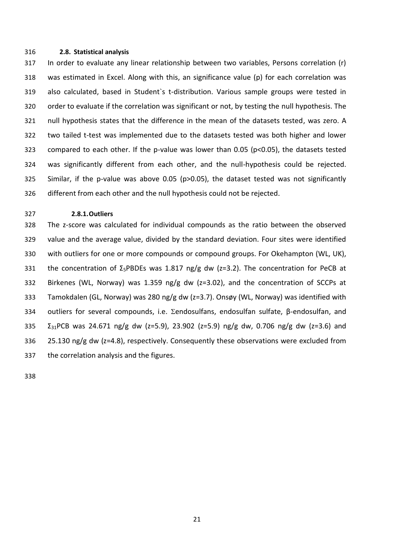#### <span id="page-20-0"></span>**2.8. Statistical analysis**

 In order to evaluate any linear relationship between two variables, Persons correlation (r) was estimated in Excel. Along with this, an significance value (p) for each correlation was also calculated, based in Student`s t-distribution. Various sample groups were tested in order to evaluate if the correlation was significant or not, by testing the null hypothesis. The null hypothesis states that the difference in the mean of the datasets tested, was zero. A two tailed t-test was implemented due to the datasets tested was both higher and lower compared to each other. If the p-value was lower than 0.05 (p<0.05), the datasets tested was significantly different from each other, and the null-hypothesis could be rejected. Similar, if the p-value was above 0.05 (p>0.05), the dataset tested was not significantly different from each other and the null hypothesis could not be rejected.

#### <span id="page-20-1"></span>**2.8.1.Outliers**

 The z-score was calculated for individual compounds as the ratio between the observed value and the average value, divided by the standard deviation. Four sites were identified with outliers for one or more compounds or compound groups. For Okehampton (WL, UK), 331 the concentration of  $\Sigma_5$ PBDEs was 1.817 ng/g dw (z=3.2). The concentration for PeCB at Birkenes (WL, Norway) was 1.359 ng/g dw (z=3.02), and the concentration of SCCPs at Tamokdalen (GL, Norway) was 280 ng/g dw (z=3.7). Onsøy (WL, Norway) was identified with 334 outliers for several compounds, i.e. Σendosulfans, endosulfan sulfate, β-endosulfan, and  $\Sigma_{31}$ PCB was 24.671 ng/g dw (z=5.9), 23.902 (z=5.9) ng/g dw, 0.706 ng/g dw (z=3.6) and 25.130 ng/g dw (z=4.8), respectively. Consequently these observations were excluded from the correlation analysis and the figures.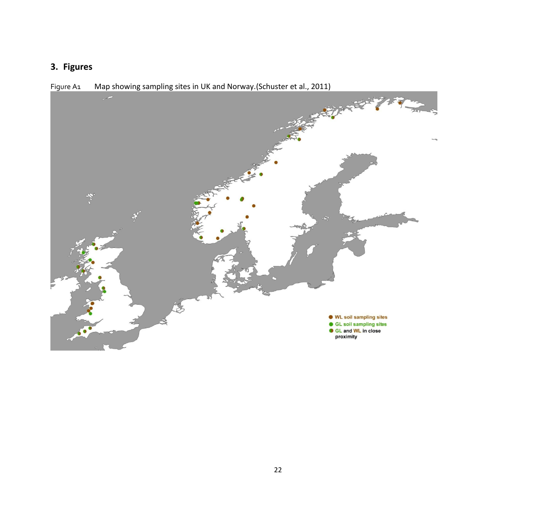# **3. Figures**

<span id="page-21-1"></span><span id="page-21-0"></span>

Figure A1 Map showing sampling sites in UK and Norway.[\(Schuster et al., 2011\)](#page-23-17)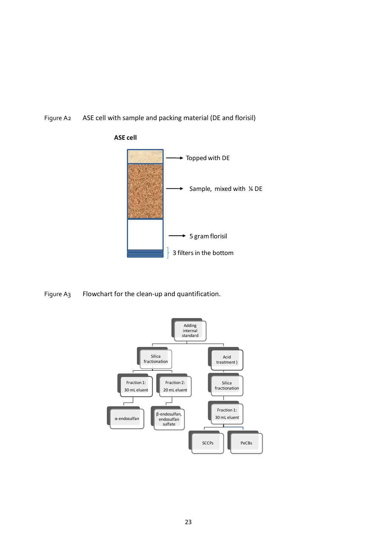<span id="page-22-0"></span>Figure A2 ASE cell with sample and packing material (DE and florisil)



<span id="page-22-1"></span>Figure A3 Flowchart for the clean-up and quantification.

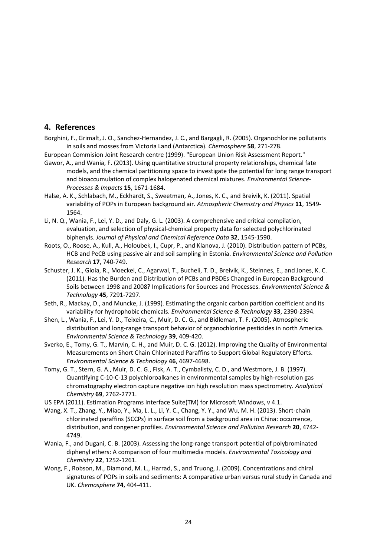## <span id="page-23-15"></span><span id="page-23-10"></span><span id="page-23-4"></span><span id="page-23-3"></span><span id="page-23-1"></span><span id="page-23-0"></span>**4. References**

- Borghini, F., Grimalt, J. O., Sanchez-Hernandez, J. C., and Bargagli, R. (2005). Organochlorine pollutants in soils and mosses from Victoria Land (Antarctica). *Chemosphere* **58**, 271-278.
- <span id="page-23-6"></span>European Commision Joint Research centre (1999). "European Union Risk Assessment Report."
- <span id="page-23-17"></span>Gawor, A., and Wania, F. (2013). Using quantitative structural property relationships, chemical fate models, and the chemical partitioning space to investigate the potential for long range transport and bioaccumulation of complex halogenated chemical mixtures. *Environmental Science-Processes & Impacts* **15**, 1671-1684.
- <span id="page-23-11"></span>Halse, A. K., Schlabach, M., Eckhardt, S., Sweetman, A., Jones, K. C., and Breivik, K. (2011). Spatial variability of POPs in European background air. *Atmospheric Chemistry and Physics* **11**, 1549- 1564.
- <span id="page-23-9"></span><span id="page-23-5"></span>Li, N. Q., Wania, F., Lei, Y. D., and Daly, G. L. (2003). A comprehensive and critical compilation, evaluation, and selection of physical-chemical property data for selected polychlorinated biphenyls. *Journal of Physical and Chemical Reference Data* **32**, 1545-1590.
- Roots, O., Roose, A., Kull, A., Holoubek, I., Cupr, P., and Klanova, J. (2010). Distribution pattern of PCBs, HCB and PeCB using passive air and soil sampling in Estonia. *Environmental Science and Pollution Research* **17**, 740-749.
- <span id="page-23-16"></span><span id="page-23-12"></span>Schuster, J. K., Gioia, R., Moeckel, C., Agarwal, T., Bucheli, T. D., Breivik, K., Steinnes, E., and Jones, K. C. (2011). Has the Burden and Distribution of PCBs and PBDEs Changed in European Background Soils between 1998 and 2008? Implications for Sources and Processes. *Environmental Science & Technology* **45**, 7291-7297.
- <span id="page-23-8"></span><span id="page-23-2"></span>Seth, R., Mackay, D., and Muncke, J. (1999). Estimating the organic carbon partition coefficient and its variability for hydrophobic chemicals. *Environmental Science & Technology* **33**, 2390-2394.
- <span id="page-23-7"></span>Shen, L., Wania, F., Lei, Y. D., Teixeira, C., Muir, D. C. G., and Bidleman, T. F. (2005). Atmospheric distribution and long-range transport behavior of organochlorine pesticides in north America. *Environmental Science & Technology* **39**, 409-420.
- Sverko, E., Tomy, G. T., Marvin, C. H., and Muir, D. C. G. (2012). Improving the Quality of Environmental Measurements on Short Chain Chlorinated Paraffins to Support Global Regulatory Efforts. *Environmental Science & Technology* **46**, 4697-4698.
- <span id="page-23-13"></span>Tomy, G. T., Stern, G. A., Muir, D. C. G., Fisk, A. T., Cymbalisty, C. D., and Westmore, J. B. (1997). Quantifying C-10-C-13 polychloroalkanes in environmental samples by high-resolution gas chromatography electron capture negative ion high resolution mass spectrometry. *Analytical Chemistry* **69**, 2762-2771.
- <span id="page-23-14"></span>US EPA (2011). Estimation Programs Interface Suite(TM) for Microsoft WIndows, v 4.1.
- Wang, X. T., Zhang, Y., Miao, Y., Ma, L. L., Li, Y. C., Chang, Y. Y., and Wu, M. H. (2013). Short-chain chlorinated paraffins (SCCPs) in surface soil from a background area in China: occurrence, distribution, and congener profiles. *Environmental Science and Pollution Research* **20**, 4742- 4749.
- Wania, F., and Dugani, C. B. (2003). Assessing the long-range transport potential of polybrominated diphenyl ethers: A comparison of four multimedia models. *Environmental Toxicology and Chemistry* **22**, 1252-1261.
- Wong, F., Robson, M., Diamond, M. L., Harrad, S., and Truong, J. (2009). Concentrations and chiral signatures of POPs in soils and sediments: A comparative urban versus rural study in Canada and UK. *Chemosphere* **74**, 404-411.